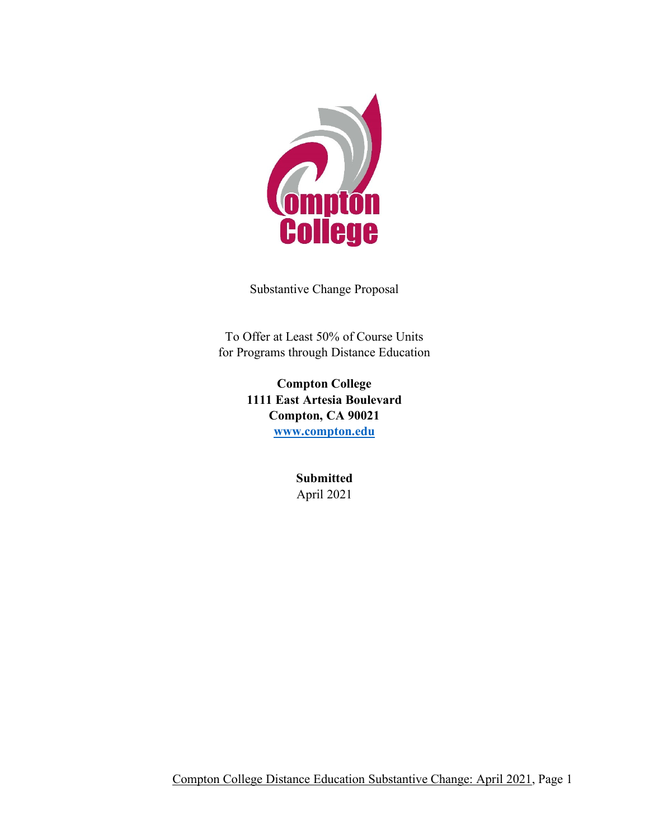

Substantive Change Proposal

To Offer at Least 50% of Course Units for Programs through Distance Education

> **Compton College 1111 East Artesia Boulevard Compton, CA 90021 [www.compton.edu](http://www.compton.edu/)**

> > **Submitted** April 2021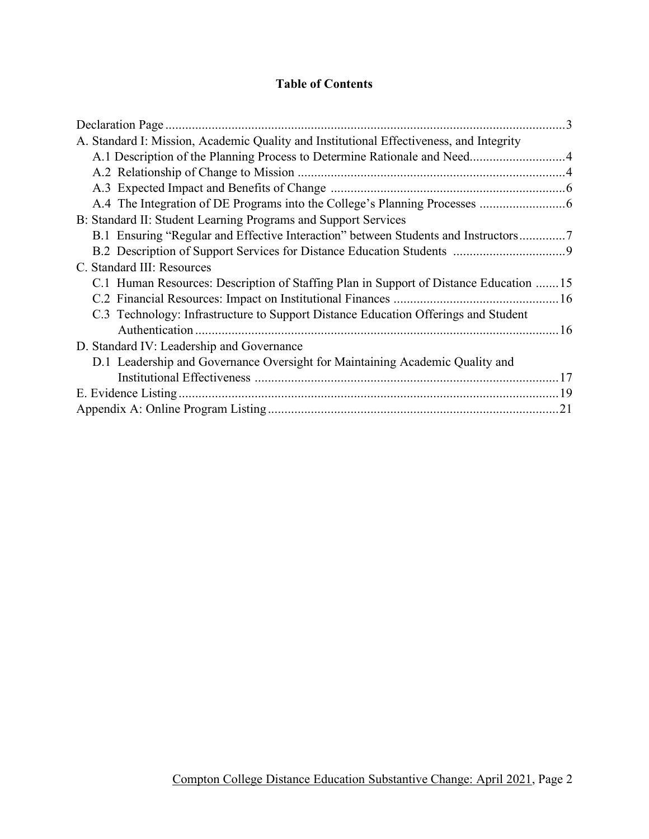## **Table of Contents**

| A. Standard I: Mission, Academic Quality and Institutional Effectiveness, and Integrity |  |
|-----------------------------------------------------------------------------------------|--|
|                                                                                         |  |
|                                                                                         |  |
|                                                                                         |  |
|                                                                                         |  |
| B: Standard II: Student Learning Programs and Support Services                          |  |
| B.1 Ensuring "Regular and Effective Interaction" between Students and Instructors7      |  |
|                                                                                         |  |
| C. Standard III: Resources                                                              |  |
| C.1 Human Resources: Description of Staffing Plan in Support of Distance Education 15   |  |
|                                                                                         |  |
| C.3 Technology: Infrastructure to Support Distance Education Offerings and Student      |  |
|                                                                                         |  |
| D. Standard IV: Leadership and Governance                                               |  |
| D.1 Leadership and Governance Oversight for Maintaining Academic Quality and            |  |
|                                                                                         |  |
|                                                                                         |  |
|                                                                                         |  |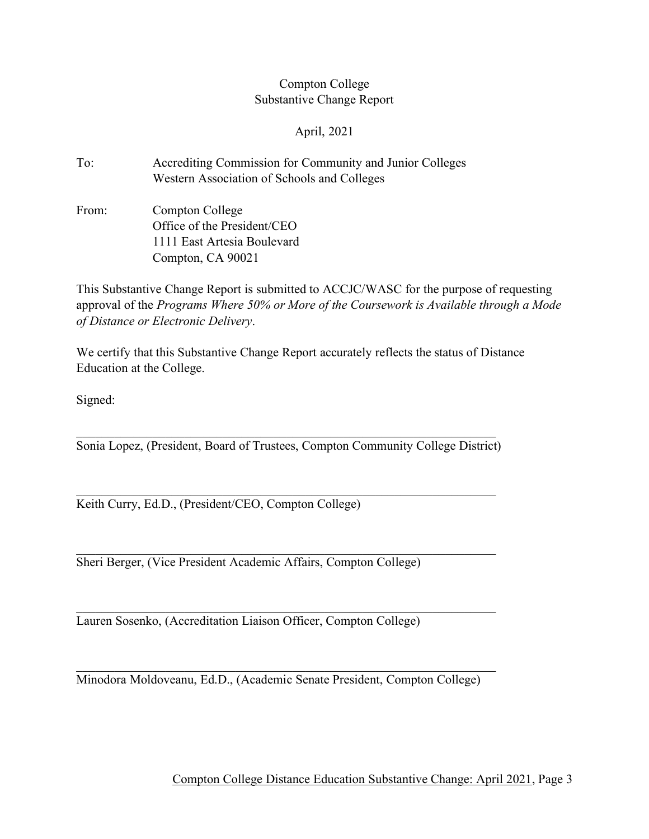## Compton College Substantive Change Report

April, 2021

- To: Accrediting Commission for Community and Junior Colleges Western Association of Schools and Colleges
- From: Compton College Office of the President/CEO 1111 East Artesia Boulevard Compton, CA 90021

This Substantive Change Report is submitted to ACCJC/WASC for the purpose of requesting approval of the *Programs Where 50% or More of the Coursework is Available through a Mode of Distance or Electronic Delivery*.

We certify that this Substantive Change Report accurately reflects the status of Distance Education at the College.

Signed:

Sonia Lopez, (President, Board of Trustees, Compton Community College District)

Keith Curry, Ed.D., (President/CEO, Compton College)

Sheri Berger, (Vice President Academic Affairs, Compton College)

Lauren Sosenko, (Accreditation Liaison Officer, Compton College)

Minodora Moldoveanu, Ed.D., (Academic Senate President, Compton College)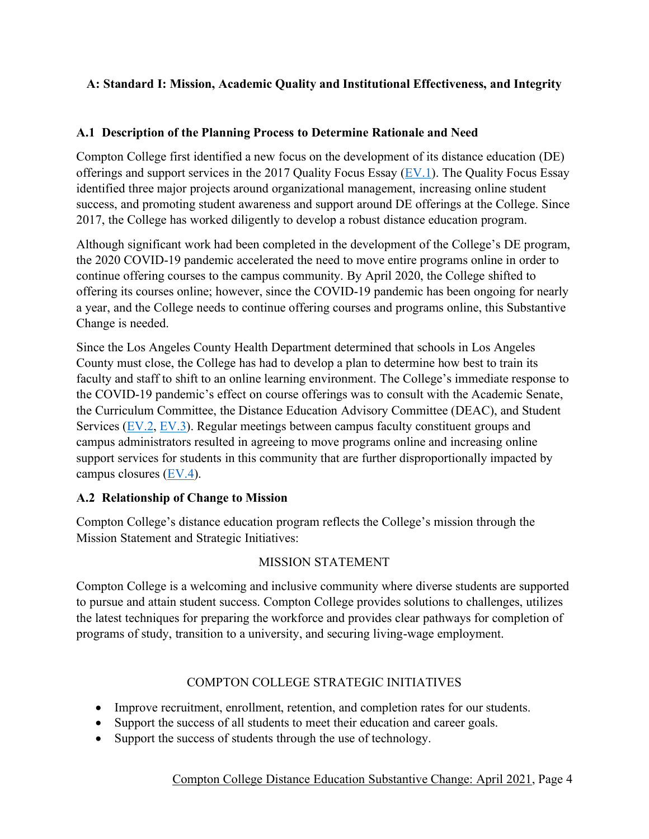## **A: Standard I: Mission, Academic Quality and Institutional Effectiveness, and Integrity**

#### **A.1 Description of the Planning Process to Determine Rationale and Need**

Compton College first identified a new focus on the development of its distance education (DE) offerings and support services in the 2017 Quality Focus Essay [\(EV.1\)](http://www.compton.edu/campusinformation/accreditation/DESubstantiveChange_Evidence/EV1.pdf). The Quality Focus Essay identified three major projects around organizational management, increasing online student success, and promoting student awareness and support around DE offerings at the College. Since 2017, the College has worked diligently to develop a robust distance education program.

Although significant work had been completed in the development of the College's DE program, the 2020 COVID-19 pandemic accelerated the need to move entire programs online in order to continue offering courses to the campus community. By April 2020, the College shifted to offering its courses online; however, since the COVID-19 pandemic has been ongoing for nearly a year, and the College needs to continue offering courses and programs online, this Substantive Change is needed.

Since the Los Angeles County Health Department determined that schools in Los Angeles County must close, the College has had to develop a plan to determine how best to train its faculty and staff to shift to an online learning environment. The College's immediate response to the COVID-19 pandemic's effect on course offerings was to consult with the Academic Senate, the Curriculum Committee, the Distance Education Advisory Committee (DEAC), and Student Services [\(EV.2,](http://www.compton.edu/campusinformation/accreditation/DESubstantiveChange_Evidence/EV2.pdf) [EV.3\)](http://www.compton.edu/campusinformation/accreditation/DESubstantiveChange_Evidence/EV3.pdf). Regular meetings between campus faculty constituent groups and campus administrators resulted in agreeing to move programs online and increasing online support services for students in this community that are further disproportionally impacted by campus closures [\(EV.4\)](http://www.compton.edu/campusinformation/accreditation/DESubstantiveChange_Evidence/EV4.pdf).

## **A.2 Relationship of Change to Mission**

Compton College's distance education program reflects the College's mission through the Mission Statement and Strategic Initiatives:

#### MISSION STATEMENT

Compton College is a welcoming and inclusive community where diverse students are supported to pursue and attain student success. Compton College provides solutions to challenges, utilizes the latest techniques for preparing the workforce and provides clear pathways for completion of programs of study, transition to a university, and securing living-wage employment.

## COMPTON COLLEGE STRATEGIC INITIATIVES

- Improve recruitment, enrollment, retention, and completion rates for our students.
- Support the success of all students to meet their education and career goals.
- Support the success of students through the use of technology.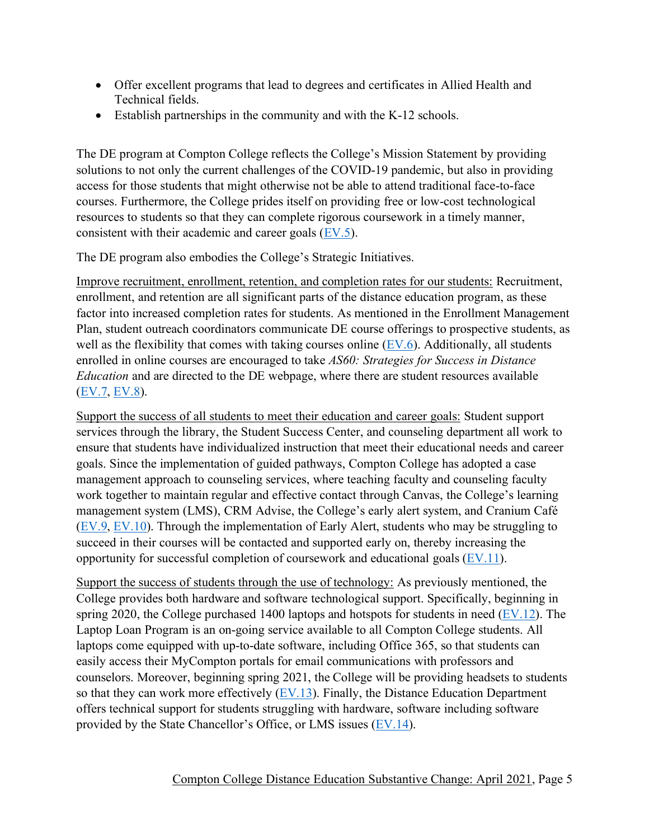- Offer excellent programs that lead to degrees and certificates in Allied Health and Technical fields.
- Establish partnerships in the community and with the K-12 schools.

The DE program at Compton College reflects the College's Mission Statement by providing solutions to not only the current challenges of the COVID-19 pandemic, but also in providing access for those students that might otherwise not be able to attend traditional face-to-face courses. Furthermore, the College prides itself on providing free or low-cost technological resources to students so that they can complete rigorous coursework in a timely manner, consistent with their academic and career goals [\(EV.5\)](http://www.compton.edu/campusinformation/accreditation/DESubstantiveChange_Evidence/EV5.pdf).

The DE program also embodies the College's Strategic Initiatives.

Improve recruitment, enrollment, retention, and completion rates for our students: Recruitment, enrollment, and retention are all significant parts of the distance education program, as these factor into increased completion rates for students. As mentioned in the Enrollment Management Plan, student outreach coordinators communicate DE course offerings to prospective students, as well as the flexibility that comes with taking courses online [\(EV.6\)](http://www.compton.edu/campusinformation/accreditation/DESubstantiveChange_Evidence/EV6.pdf). Additionally, all students enrolled in online courses are encouraged to take *AS60: Strategies for Success in Distance Education* and are directed to the DE webpage, where there are student resources available [\(EV.7,](http://www.compton.edu/campusinformation/accreditation/DESubstantiveChange_Evidence/EV7.pdf) [EV.8\)](http://www.compton.edu/campusinformation/accreditation/DESubstantiveChange_Evidence/EV8.pdf).

Support the success of all students to meet their education and career goals: Student support services through the library, the Student Success Center, and counseling department all work to ensure that students have individualized instruction that meet their educational needs and career goals. Since the implementation of guided pathways, Compton College has adopted a case management approach to counseling services, where teaching faculty and counseling faculty work together to maintain regular and effective contact through Canvas, the College's learning management system (LMS), CRM Advise, the College's early alert system, and Cranium Café  $(EV.9, EV.10)$  $(EV.9, EV.10)$ . Through the implementation of Early Alert, students who may be struggling to succeed in their courses will be contacted and supported early on, thereby increasing the opportunity for successful completion of coursework and educational goals [\(EV.11\)](http://www.compton.edu/campusinformation/accreditation/DESubstantiveChange_Evidence/EV11.pdf).

Support the success of students through the use of technology: As previously mentioned, the College provides both hardware and software technological support. Specifically, beginning in spring 2020, the College purchased 1400 laptops and hotspots for students in need  $(EV.12)$ . The Laptop Loan Program is an on-going service available to all Compton College students. All laptops come equipped with up-to-date software, including Office 365, so that students can easily access their MyCompton portals for email communications with professors and counselors. Moreover, beginning spring 2021, the College will be providing headsets to students so that they can work more effectively  $(EV.13)$ . Finally, the Distance Education Department offers technical support for students struggling with hardware, software including software provided by the State Chancellor's Office, or LMS issues [\(EV.14\)](http://www.compton.edu/campusinformation/accreditation/DESubstantiveChange_Evidence/EV14.pdf).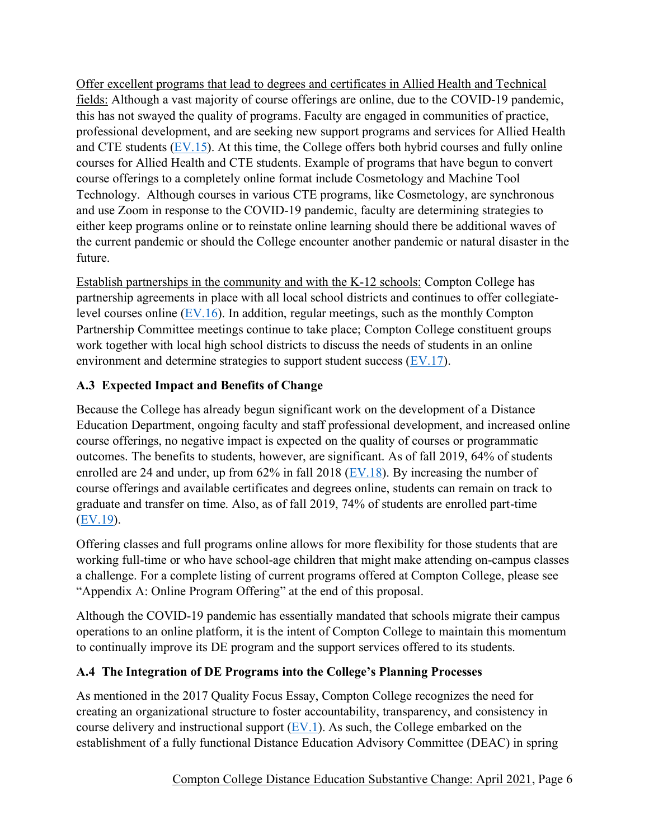Offer excellent programs that lead to degrees and certificates in Allied Health and Technical fields: Although a vast majority of course offerings are online, due to the COVID-19 pandemic, this has not swayed the quality of programs. Faculty are engaged in communities of practice, professional development, and are seeking new support programs and services for Allied Health and CTE students [\(EV.15\)](http://www.compton.edu/campusinformation/accreditation/DESubstantiveChange_Evidence/EV15.pdf). At this time, the College offers both hybrid courses and fully online courses for Allied Health and CTE students. Example of programs that have begun to convert course offerings to a completely online format include Cosmetology and Machine Tool Technology. Although courses in various CTE programs, like Cosmetology, are synchronous and use Zoom in response to the COVID-19 pandemic, faculty are determining strategies to either keep programs online or to reinstate online learning should there be additional waves of the current pandemic or should the College encounter another pandemic or natural disaster in the future.

Establish partnerships in the community and with the K-12 schools: Compton College has partnership agreements in place with all local school districts and continues to offer collegiatelevel courses online  $(EV.16)$ . In addition, regular meetings, such as the monthly Compton Partnership Committee meetings continue to take place; Compton College constituent groups work together with local high school districts to discuss the needs of students in an online environment and determine strategies to support student success [\(EV.17\)](http://www.compton.edu/campusinformation/accreditation/DESubstantiveChange_Evidence/EV17.pdf).

# **A.3 Expected Impact and Benefits of Change**

Because the College has already begun significant work on the development of a Distance Education Department, ongoing faculty and staff professional development, and increased online course offerings, no negative impact is expected on the quality of courses or programmatic outcomes. The benefits to students, however, are significant. As of fall 2019, 64% of students enrolled are 24 and under, up from 62% in fall 2018 [\(EV.18\)](http://www.compton.edu/campusinformation/accreditation/DESubstantiveChange_Evidence/EV18.pdf). By increasing the number of course offerings and available certificates and degrees online, students can remain on track to graduate and transfer on time. Also, as of fall 2019, 74% of students are enrolled part-time [\(EV.19\)](http://www.compton.edu/campusinformation/accreditation/DESubstantiveChange_Evidence/EV19.pdf).

Offering classes and full programs online allows for more flexibility for those students that are working full-time or who have school-age children that might make attending on-campus classes a challenge. For a complete listing of current programs offered at Compton College, please see "Appendix A: Online Program Offering" at the end of this proposal.

Although the COVID-19 pandemic has essentially mandated that schools migrate their campus operations to an online platform, it is the intent of Compton College to maintain this momentum to continually improve its DE program and the support services offered to its students.

## **A.4 The Integration of DE Programs into the College's Planning Processes**

As mentioned in the 2017 Quality Focus Essay, Compton College recognizes the need for creating an organizational structure to foster accountability, transparency, and consistency in course delivery and instructional support  $(EV.1)$ . As such, the College embarked on the establishment of a fully functional Distance Education Advisory Committee (DEAC) in spring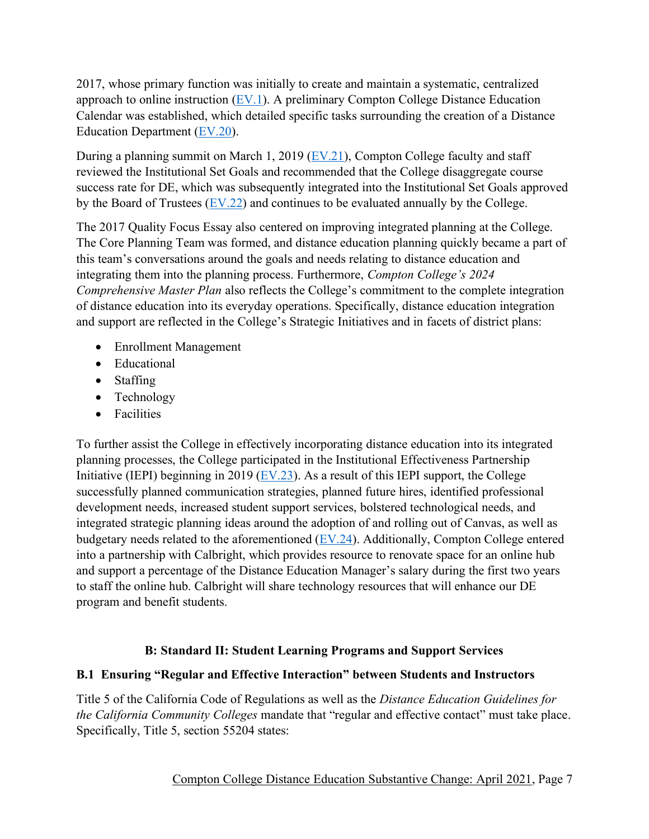2017, whose primary function was initially to create and maintain a systematic, centralized approach to online instruction [\(EV.1\)](http://www.compton.edu/campusinformation/accreditation/DESubstantiveChange_Evidence/EV1.pdf). A preliminary Compton College Distance Education Calendar was established, which detailed specific tasks surrounding the creation of a Distance Education Department [\(EV.20\)](http://www.compton.edu/campusinformation/accreditation/DESubstantiveChange_Evidence/EV20.pdf).

During a planning summit on March 1, 2019 [\(EV.21\)](http://www.compton.edu/campusinformation/accreditation/DESubstantiveChange_Evidence/EV21.pdf), Compton College faculty and staff reviewed the Institutional Set Goals and recommended that the College disaggregate course success rate for DE, which was subsequently integrated into the Institutional Set Goals approved by the Board of Trustees [\(EV.22\)](http://www.compton.edu/campusinformation/accreditation/DESubstantiveChange_Evidence/EV22.pdf) and continues to be evaluated annually by the College.

The 2017 Quality Focus Essay also centered on improving integrated planning at the College. The Core Planning Team was formed, and distance education planning quickly became a part of this team's conversations around the goals and needs relating to distance education and integrating them into the planning process. Furthermore, *Compton College's 2024 Comprehensive Master Plan* also reflects the College's commitment to the complete integration of distance education into its everyday operations. Specifically, distance education integration and support are reflected in the College's Strategic Initiatives and in facets of district plans:

- Enrollment Management
- Educational
- Staffing
- Technology
- Facilities

To further assist the College in effectively incorporating distance education into its integrated planning processes, the College participated in the Institutional Effectiveness Partnership Initiative (IEPI) beginning in 2019 ( $EV.23$ ). As a result of this IEPI support, the College successfully planned communication strategies, planned future hires, identified professional development needs, increased student support services, bolstered technological needs, and integrated strategic planning ideas around the adoption of and rolling out of Canvas, as well as budgetary needs related to the aforementioned [\(EV.24\)](http://www.compton.edu/campusinformation/accreditation/DESubstantiveChange_Evidence/EV24.pdf). Additionally, Compton College entered into a partnership with Calbright, which provides resource to renovate space for an online hub and support a percentage of the Distance Education Manager's salary during the first two years to staff the online hub. Calbright will share technology resources that will enhance our DE program and benefit students.

## **B: Standard II: Student Learning Programs and Support Services**

#### **B.1 Ensuring "Regular and Effective Interaction" between Students and Instructors**

Title 5 of the California Code of Regulations as well as the *Distance Education Guidelines for the California Community Colleges* mandate that "regular and effective contact" must take place. Specifically, Title 5, section 55204 states: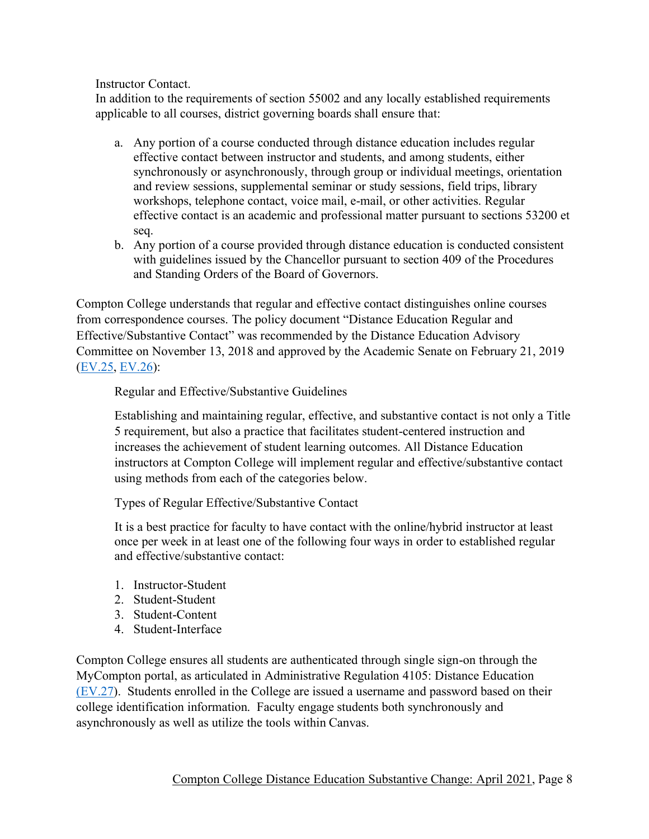Instructor Contact.

In addition to the requirements of section 55002 and any locally established requirements applicable to all courses, district governing boards shall ensure that:

- a. Any portion of a course conducted through distance education includes regular effective contact between instructor and students, and among students, either synchronously or asynchronously, through group or individual meetings, orientation and review sessions, supplemental seminar or study sessions, field trips, library workshops, telephone contact, voice mail, e-mail, or other activities. Regular effective contact is an academic and professional matter pursuant to sections 53200 et seq.
- b. Any portion of a course provided through distance education is conducted consistent with guidelines issued by the Chancellor pursuant to section 409 of the Procedures and Standing Orders of the Board of Governors.

Compton College understands that regular and effective contact distinguishes online courses from correspondence courses. The policy document "Distance Education Regular and Effective/Substantive Contact" was recommended by the Distance Education Advisory Committee on November 13, 2018 and approved by the Academic Senate on February 21, 2019 [\(EV.25,](http://www.compton.edu/campusinformation/accreditation/DESubstantiveChange_Evidence/EV25.pdf) [EV.26\)](http://www.compton.edu/campusinformation/accreditation/DESubstantiveChange_Evidence/EV26.pdf):

Regular and Effective/Substantive Guidelines

Establishing and maintaining regular, effective, and substantive contact is not only a Title 5 requirement, but also a practice that facilitates student-centered instruction and increases the achievement of student learning outcomes. All Distance Education instructors at Compton College will implement regular and effective/substantive contact using methods from each of the categories below.

Types of Regular Effective/Substantive Contact

It is a best practice for faculty to have contact with the online/hybrid instructor at least once per week in at least one of the following four ways in order to established regular and effective/substantive contact:

- 1. Instructor-Student
- 2. Student-Student
- 3. Student-Content
- 4. Student-Interface

Compton College ensures all students are authenticated through single sign-on through the MyCompton portal, as articulated in Administrative Regulation 4105: Distance Education [\(EV.27\)](http://www.compton.edu/campusinformation/accreditation/DESubstantiveChange_Evidence/EV27.pdf). Students enrolled in the College are issued a username and password based on their college identification information. Faculty engage students both synchronously and asynchronously as well as utilize the tools within Canvas.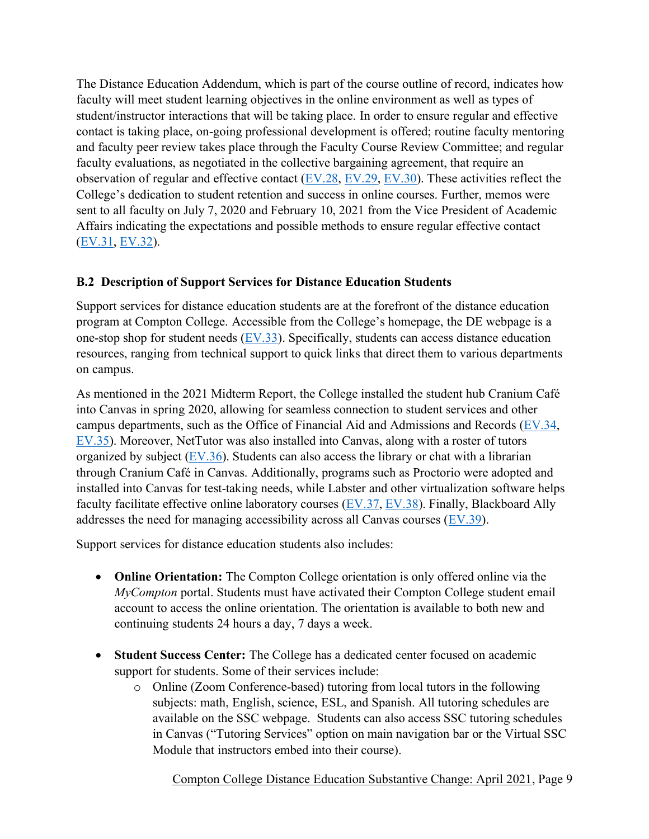The Distance Education Addendum, which is part of the course outline of record, indicates how faculty will meet student learning objectives in the online environment as well as types of student/instructor interactions that will be taking place. In order to ensure regular and effective contact is taking place, on-going professional development is offered; routine faculty mentoring and faculty peer review takes place through the Faculty Course Review Committee; and regular faculty evaluations, as negotiated in the collective bargaining agreement, that require an observation of regular and effective contact  $(EV.28, EV.29, EV.30)$  $(EV.28, EV.29, EV.30)$  $(EV.28, EV.29, EV.30)$ . These activities reflect the College's dedication to student retention and success in online courses. Further, memos were sent to all faculty on July 7, 2020 and February 10, 2021 from the Vice President of Academic Affairs indicating the expectations and possible methods to ensure regular effective contact [\(EV.31,](http://www.compton.edu/campusinformation/accreditation/DESubstantiveChange_Evidence/EV31.pdf) [EV.32\)](http://www.compton.edu/campusinformation/accreditation/DESubstantiveChange_Evidence/EV32.pdf).

#### **B.2 Description of Support Services for Distance Education Students**

Support services for distance education students are at the forefront of the distance education program at Compton College. Accessible from the College's homepage, the DE webpage is a one-stop shop for student needs  $(EV.33)$ . Specifically, students can access distance education resources, ranging from technical support to quick links that direct them to various departments on campus.

As mentioned in the 2021 Midterm Report, the College installed the student hub Cranium Café into Canvas in spring 2020, allowing for seamless connection to student services and other campus departments, such as the Office of Financial Aid and Admissions and Records [\(EV.34,](http://www.compton.edu/campusinformation/accreditation/DESubstantiveChange_Evidence/EV34.pdf) [EV.35\)](http://www.compton.edu/campusinformation/accreditation/DESubstantiveChange_Evidence/EV35.pdf). Moreover, NetTutor was also installed into Canvas, along with a roster of tutors organized by subject  $(EV.36)$ . Students can also access the library or chat with a librarian through Cranium Café in Canvas. Additionally, programs such as Proctorio were adopted and installed into Canvas for test-taking needs, while Labster and other virtualization software helps faculty facilitate effective online laboratory courses [\(EV.37,](http://www.compton.edu/campusinformation/accreditation/DESubstantiveChange_Evidence/EV37.pdf) [EV.38\)](http://www.compton.edu/campusinformation/accreditation/DESubstantiveChange_Evidence/EV38.pdf). Finally, Blackboard Ally addresses the need for managing accessibility across all Canvas courses [\(EV.39\)](http://www.compton.edu/campusinformation/accreditation/DESubstantiveChange_Evidence/EV39.pdf).

Support services for distance education students also includes:

- **Online Orientation:** The Compton College orientation is only offered online via the *MyCompton* portal. Students must have activated their Compton College student email account to access the online orientation. The orientation is available to both new and continuing students 24 hours a day, 7 days a week.
- **Student Success Center:** The College has a dedicated center focused on academic support for students. Some of their services include:
	- o Online (Zoom Conference-based) tutoring from local tutors in the following subjects: math, English, science, ESL, and Spanish. All tutoring schedules are available on the SSC webpage. Students can also access SSC tutoring schedules in Canvas ("Tutoring Services" option on main navigation bar or the Virtual SSC Module that instructors embed into their course).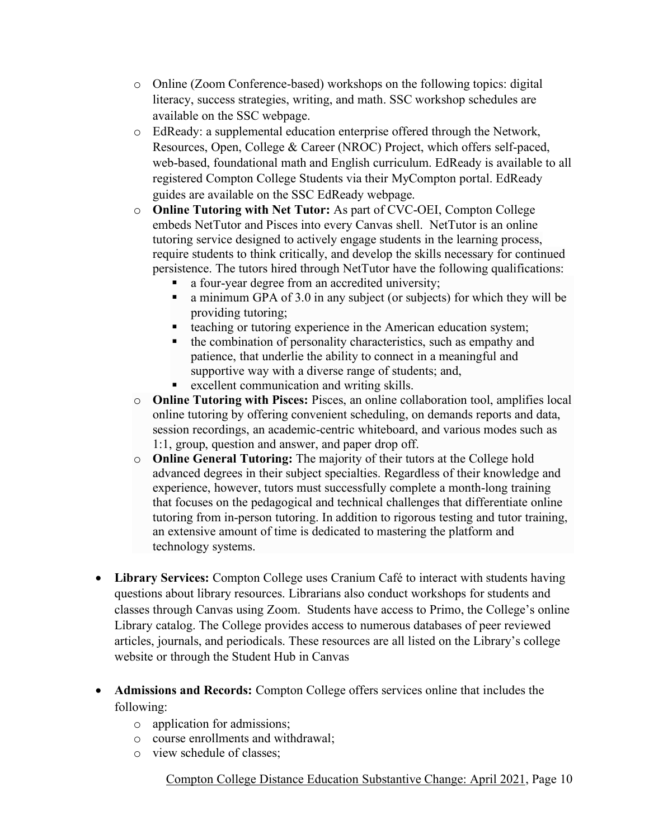- o Online (Zoom Conference-based) workshops on the following topics: digital literacy, success strategies, writing, and math. SSC workshop schedules are available on the SSC webpage.
- o EdReady: a supplemental education enterprise offered through the Network, Resources, Open, College & Career (NROC) Project, which offers self-paced, web-based, foundational math and English curriculum. EdReady is available to all registered Compton College Students via their MyCompton portal. EdReady guides are available on the SSC EdReady webpage.
- o **Online Tutoring with Net Tutor:** As part of CVC-OEI, Compton College embeds NetTutor and Pisces into every Canvas shell. NetTutor is an online tutoring service designed to actively engage students in the learning process, require students to think critically, and develop the skills necessary for continued persistence. The tutors hired through NetTutor have the following qualifications:
	- a four-year degree from an accredited university;
	- a minimum GPA of 3.0 in any subject (or subjects) for which they will be providing tutoring;
	- teaching or tutoring experience in the American education system;
	- the combination of personality characteristics, such as empathy and patience, that underlie the ability to connect in a meaningful and supportive way with a diverse range of students; and,
	- excellent communication and writing skills.
- o **Online Tutoring with Pisces:** Pisces, an online collaboration tool, amplifies local online tutoring by offering convenient scheduling, on demands reports and data, session recordings, an academic-centric whiteboard, and various modes such as 1:1, group, question and answer, and paper drop off.
- o **Online General Tutoring:** The majority of their tutors at the College hold advanced degrees in their subject specialties. Regardless of their knowledge and experience, however, tutors must successfully complete a month-long training that focuses on the pedagogical and technical challenges that differentiate online tutoring from in-person tutoring. In addition to rigorous testing and tutor training, an extensive amount of time is dedicated to mastering the platform and technology systems.
- **Library Services:** Compton College uses Cranium Café to interact with students having questions about library resources. Librarians also conduct workshops for students and classes through Canvas using Zoom. Students have access to Primo, the College's online Library catalog. The College provides access to numerous databases of peer reviewed articles, journals, and periodicals. These resources are all listed on the Library's college website or through the Student Hub in Canvas
- **Admissions and Records:** Compton College offers services online that includes the following:
	- o application for admissions;
	- o course enrollments and withdrawal;
	- o view schedule of classes;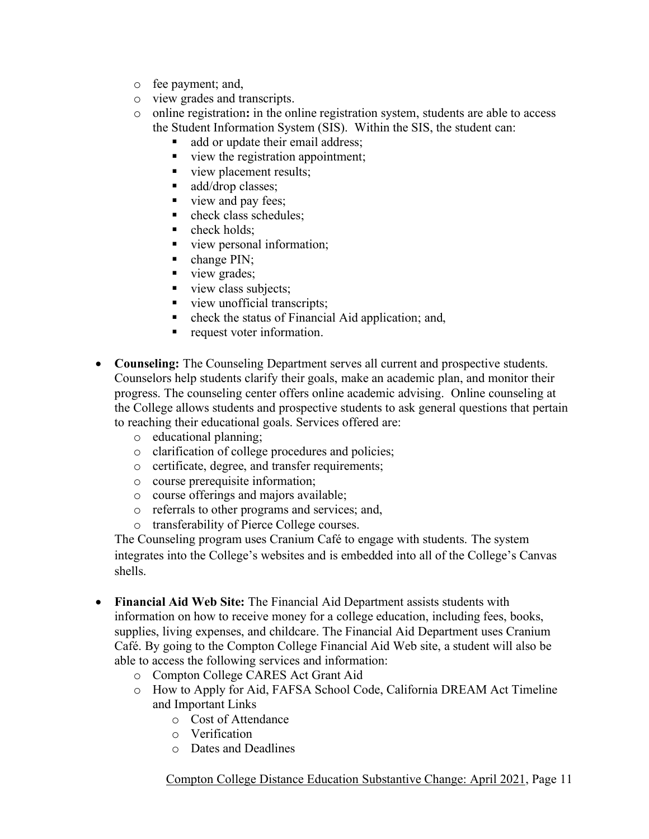- o fee payment; and,
- o view grades and transcripts.
- o online registration**:** in the online registration system, students are able to access the Student Information System (SIS). Within the SIS, the student can:
	- add or update their email address;
	- view the registration appointment;
	- view placement results;
	- add/drop classes;
	- view and pay fees:
	- check class schedules;
	- $\blacksquare$  check holds:
	- view personal information;
	- $\blacksquare$  change PIN;
	- view grades;
	- view class subjects;
	- view unofficial transcripts;
	- check the status of Financial Aid application; and,
	- request voter information.
- **Counseling:** The Counseling Department serves all current and prospective students. Counselors help students clarify their goals, make an academic plan, and monitor their progress. The counseling center offers online academic advising. Online counseling at the College allows students and prospective students to ask general questions that pertain to reaching their educational goals. Services offered are:
	- o educational planning;
	- o clarification of college procedures and policies;
	- o certificate, degree, and transfer requirements;
	- o course prerequisite information;
	- o course offerings and majors available;
	- o referrals to other programs and services; and,
	- o transferability of Pierce College courses.

The Counseling program uses Cranium Café to engage with students. The system integrates into the College's websites and is embedded into all of the College's Canvas shells.

- **Financial Aid Web Site:** The Financial Aid Department assists students with information on how to receive money for a college education, including fees, books, supplies, living expenses, and childcare. The Financial Aid Department uses Cranium Café. By going to the Compton College Financial Aid Web site, a student will also be able to access the following services and information:
	- o Compton College CARES Act Grant Aid
	- o How to Apply for Aid, FAFSA School Code, California DREAM Act Timeline and Important Links
		- o Cost of Attendance
		- o Verification
		- o Dates and Deadlines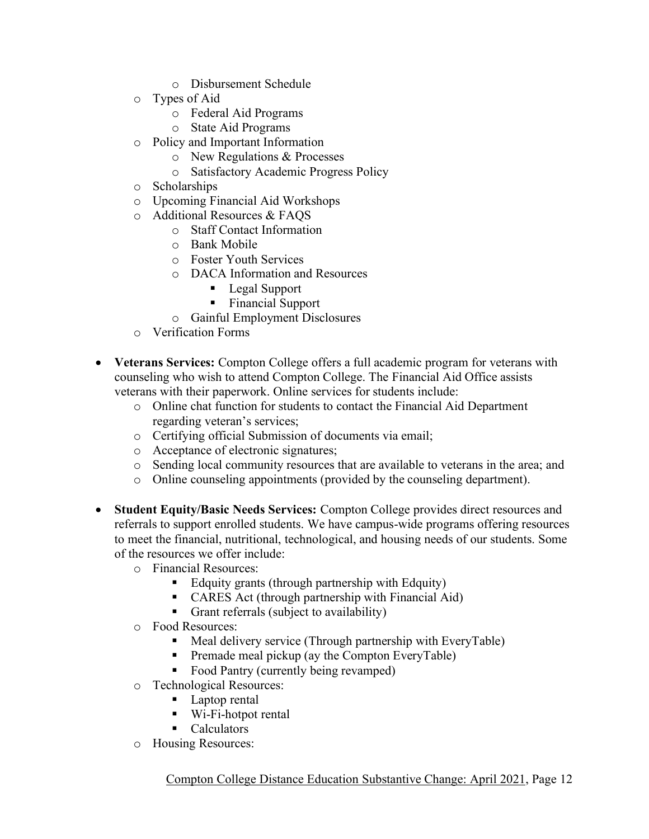- o Disbursement Schedule
- o Types of Aid
	- o Federal Aid Programs
	- o State Aid Programs
- o Policy and Important Information
	- o New Regulations & Processes
	- o Satisfactory Academic Progress Policy
- o Scholarships
- o Upcoming Financial Aid Workshops
- o Additional Resources & FAQS
	- o Staff Contact Information
	- o Bank Mobile
	- o Foster Youth Services
	- o DACA Information and Resources
		- Legal Support
		- Financial Support
	- o Gainful Employment Disclosures
- o Verification Forms
- **Veterans Services:** Compton College offers a full academic program for veterans with counseling who wish to attend Compton College. The Financial Aid Office assists veterans with their paperwork. Online services for students include:
	- o Online chat function for students to contact the Financial Aid Department regarding veteran's services;
	- o Certifying official Submission of documents via email;
	- o Acceptance of electronic signatures;
	- o Sending local community resources that are available to veterans in the area; and
	- o Online counseling appointments (provided by the counseling department).
- **Student Equity/Basic Needs Services:** Compton College provides direct resources and referrals to support enrolled students. We have campus-wide programs offering resources to meet the financial, nutritional, technological, and housing needs of our students. Some of the resources we offer include:
	- o Financial Resources:
		- Edquity grants (through partnership with Edquity)
		- CARES Act (through partnership with Financial Aid)
		- Grant referrals (subject to availability)
	- o Food Resources:
		- Meal delivery service (Through partnership with EveryTable)
		- Premade meal pickup (ay the Compton EveryTable)
		- Food Pantry (currently being revamped)
	- o Technological Resources:
		- Laptop rental
		- $\blacksquare$  Wi-Fi-hotpot rental
		- Calculators
	- o Housing Resources: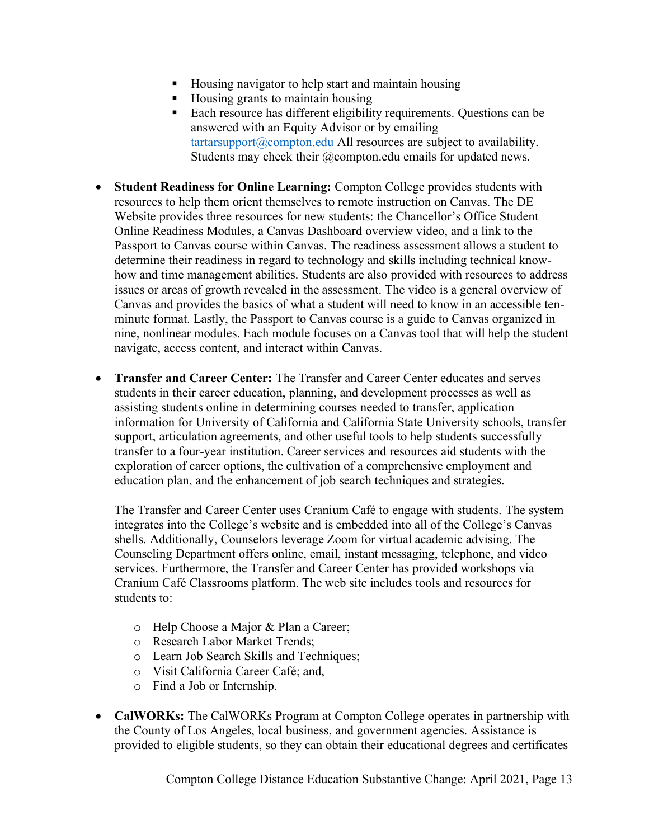- Housing navigator to help start and maintain housing
- Housing grants to maintain housing
- Each resource has different eligibility requirements. Questions can be answered with an Equity Advisor or by emailing  $\text{tartarsupport@compton.edu}$  $\text{tartarsupport@compton.edu}$  $\text{tartarsupport@compton.edu}$  All resources are subject to availability. Students may check their @compton.edu emails for updated news.
- **Student Readiness for Online Learning:** Compton College provides students with resources to help them orient themselves to remote instruction on Canvas. The DE Website provides three resources for new students: the Chancellor's Office Student Online Readiness Modules, a Canvas Dashboard overview video, and a link to the Passport to Canvas course within Canvas. The readiness assessment allows a student to determine their readiness in regard to technology and skills including technical knowhow and time management abilities. Students are also provided with resources to address issues or areas of growth revealed in the assessment. The video is a general overview of Canvas and provides the basics of what a student will need to know in an accessible tenminute format. Lastly, the Passport to Canvas course is a guide to Canvas organized in nine, nonlinear modules. Each module focuses on a Canvas tool that will help the student navigate, access content, and interact within Canvas.
- **Transfer and Career Center:** The Transfer and Career Center educates and serves students in their career education, planning, and development processes as well as assisting students online in determining courses needed to transfer, application information for University of California and California State University schools, transfer support, articulation agreements, and other useful tools to help students successfully transfer to a four-year institution. Career services and resources aid students with the exploration of career options, the cultivation of a comprehensive employment and education plan, and the enhancement of job search techniques and strategies.

The Transfer and Career Center uses Cranium Café to engage with students. The system integrates into the College's website and is embedded into all of the College's Canvas shells. Additionally, Counselors leverage Zoom for virtual academic advising. The Counseling Department offers online, email, instant messaging, telephone, and video services. Furthermore, the Transfer and Career Center has provided workshops via Cranium Café Classrooms platform. The web site includes tools and resources for students to:

- o Help Choose a Major & Plan a Career;
- o Research Labor Market Trends;
- o Learn Job Search Skills and Techniques;
- o Visit California Career Café; and,
- o Find a Job or Internship.
- **CalWORKs:** The CalWORKs Program at Compton College operates in partnership with the County of Los Angeles, local business, and government agencies. Assistance is provided to eligible students, so they can obtain their educational degrees and certificates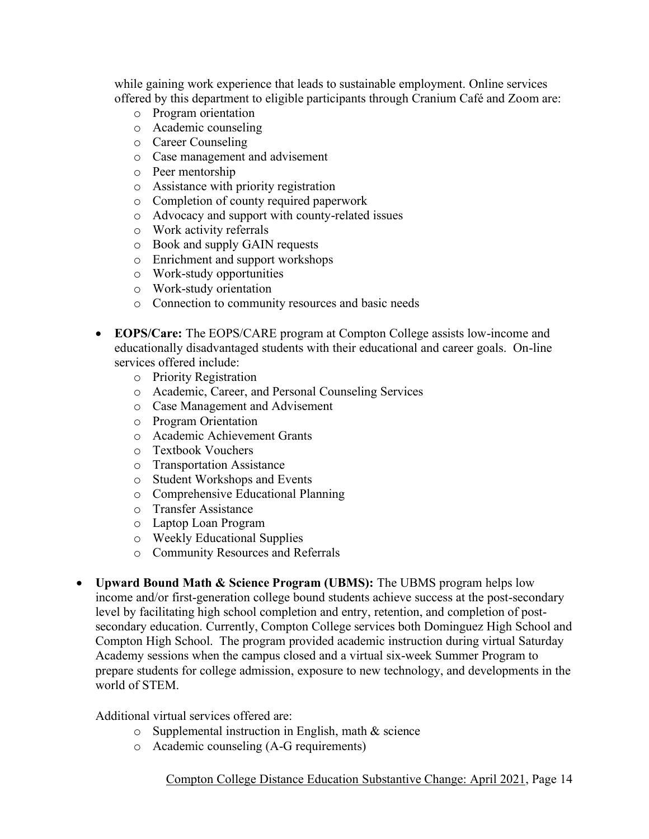while gaining work experience that leads to sustainable employment. Online services offered by this department to eligible participants through Cranium Café and Zoom are:

- o Program orientation
- o Academic counseling
- o Career Counseling
- o Case management and advisement
- o Peer mentorship
- o Assistance with priority registration
- o Completion of county required paperwork
- o Advocacy and support with county-related issues
- o Work activity referrals
- o Book and supply GAIN requests
- o Enrichment and support workshops
- o Work-study opportunities
- o Work-study orientation
- o Connection to community resources and basic needs
- **EOPS/Care:** The EOPS/CARE program at Compton College assists low-income and educationally disadvantaged students with their educational and career goals. On-line services offered include:
	- o Priority Registration
	- o Academic, Career, and Personal Counseling Services
	- o Case Management and Advisement
	- o Program Orientation
	- o Academic Achievement Grants
	- o Textbook Vouchers
	- o Transportation Assistance
	- o Student Workshops and Events
	- o Comprehensive Educational Planning
	- o Transfer Assistance
	- o Laptop Loan Program
	- o Weekly Educational Supplies
	- o Community Resources and Referrals
- **Upward Bound Math & Science Program (UBMS):** The UBMS program helps low income and/or first-generation college bound students achieve success at the post-secondary level by facilitating high school completion and entry, retention, and completion of postsecondary education. Currently, Compton College services both Dominguez High School and Compton High School. The program provided academic instruction during virtual Saturday Academy sessions when the campus closed and a virtual six-week Summer Program to prepare students for college admission, exposure to new technology, and developments in the world of STEM.

#### Additional virtual services offered are:

- o Supplemental instruction in English, math & science
- o Academic counseling (A-G requirements)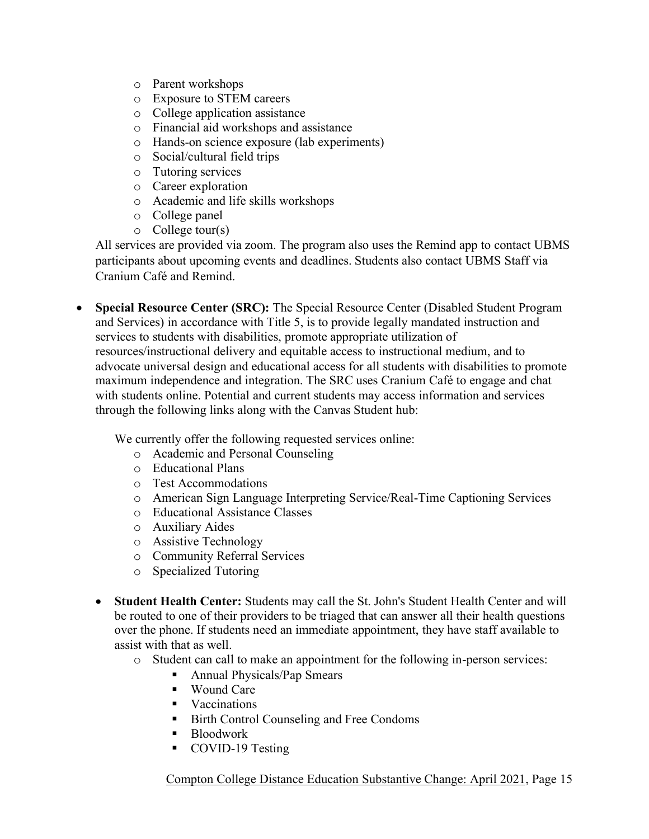- o Parent workshops
- o Exposure to STEM careers
- o College application assistance
- o Financial aid workshops and assistance
- o Hands-on science exposure (lab experiments)
- o Social/cultural field trips
- o Tutoring services
- o Career exploration
- o Academic and life skills workshops
- o College panel
- $\circ$  College tour(s)

All services are provided via zoom. The program also uses the Remind app to contact UBMS participants about upcoming events and deadlines. Students also contact UBMS Staff via Cranium Café and Remind.

• **Special Resource Center (SRC):** The Special Resource Center (Disabled Student Program and Services) in accordance with Title 5, is to provide legally mandated instruction and services to students with disabilities, promote appropriate utilization of resources/instructional delivery and equitable access to instructional medium, and to advocate universal design and educational access for all students with disabilities to promote maximum independence and integration. The SRC uses Cranium Café to engage and chat with students online. Potential and current students may access information and services through the following links along with the Canvas Student hub:

We currently offer the following requested services online:

- o Academic and Personal Counseling
- o Educational Plans
- o Test Accommodations
- o American Sign Language Interpreting Service/Real-Time Captioning Services
- o Educational Assistance Classes
- o Auxiliary Aides
- o Assistive Technology
- o Community Referral Services
- o Specialized Tutoring
- **Student Health Center:** Students may call the St. John's Student Health Center and will be routed to one of their providers to be triaged that can answer all their health questions over the phone. If students need an immediate appointment, they have staff available to assist with that as well.
	- o Student can call to make an appointment for the following in-person services:
		- Annual Physicals/Pap Smears
		- Wound Care
		- Vaccinations
		- Birth Control Counseling and Free Condoms
		- Bloodwork
		- COVID-19 Testing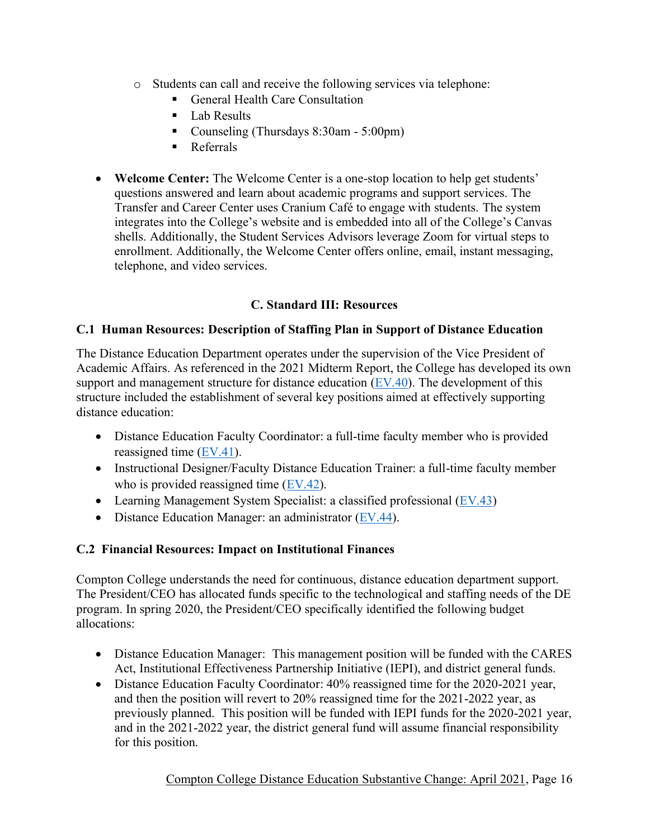- o Students can call and receive the following services via telephone:
	- General Health Care Consultation
	- Lab Results
	- Counseling (Thursdays 8:30am 5:00pm)
	- Referrals
- **Welcome Center:** The Welcome Center is a one-stop location to help get students' questions answered and learn about academic programs and support services. The Transfer and Career Center uses Cranium Café to engage with students. The system integrates into the College's website and is embedded into all of the College's Canvas shells. Additionally, the Student Services Advisors leverage Zoom for virtual steps to enrollment. Additionally, the Welcome Center offers online, email, instant messaging, telephone, and video services.

## **C. Standard III: Resources**

## **C.1 Human Resources: Description of Staffing Plan in Support of Distance Education**

The Distance Education Department operates under the supervision of the Vice President of Academic Affairs. As referenced in the 2021 Midterm Report, the College has developed its own support and management structure for distance education [\(EV.40\)](http://www.compton.edu/campusinformation/accreditation/DESubstantiveChange_Evidence/EV40.pdf). The development of this structure included the establishment of several key positions aimed at effectively supporting distance education:

- Distance Education Faculty Coordinator: a full-time faculty member who is provided reassigned time [\(EV.41\)](http://www.compton.edu/campusinformation/accreditation/DESubstantiveChange_Evidence/EV41.pdf).
- Instructional Designer/Faculty Distance Education Trainer: a full-time faculty member who is provided reassigned time [\(EV.42\)](http://www.compton.edu/campusinformation/accreditation/DESubstantiveChange_Evidence/EV42.pdf).
- Learning Management System Specialist: a classified professional  $(EV.43)$
- Distance Education Manager: an administrator  $(EV.44)$ .

## **C.2 Financial Resources: Impact on Institutional Finances**

Compton College understands the need for continuous, distance education department support. The President/CEO has allocated funds specific to the technological and staffing needs of the DE program. In spring 2020, the President/CEO specifically identified the following budget allocations:

- Distance Education Manager: This management position will be funded with the CARES Act, Institutional Effectiveness Partnership Initiative (IEPI), and district general funds.
- Distance Education Faculty Coordinator: 40% reassigned time for the 2020-2021 year, and then the position will revert to 20% reassigned time for the 2021-2022 year, as previously planned. This position will be funded with IEPI funds for the 2020-2021 year, and in the 2021-2022 year, the district general fund will assume financial responsibility for this position.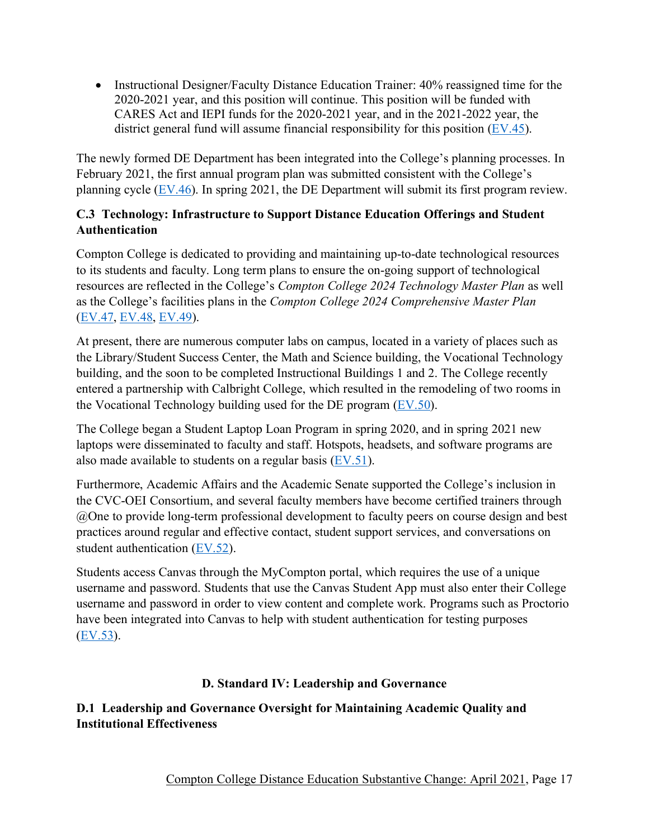• Instructional Designer/Faculty Distance Education Trainer: 40% reassigned time for the 2020-2021 year, and this position will continue. This position will be funded with CARES Act and IEPI funds for the 2020-2021 year, and in the 2021-2022 year, the district general fund will assume financial responsibility for this position [\(EV.45\)](http://www.compton.edu/campusinformation/accreditation/DESubstantiveChange_Evidence/EV45.pdf).

The newly formed DE Department has been integrated into the College's planning processes. In February 2021, the first annual program plan was submitted consistent with the College's planning cycle  $(EV.46)$ . In spring 2021, the DE Department will submit its first program review.

## **C.3 Technology: Infrastructure to Support Distance Education Offerings and Student Authentication**

Compton College is dedicated to providing and maintaining up-to-date technological resources to its students and faculty. Long term plans to ensure the on-going support of technological resources are reflected in the College's *Compton College 2024 Technology Master Plan* as well as the College's facilities plans in the *Compton College 2024 Comprehensive Master Plan* [\(EV.47,](http://www.compton.edu/campusinformation/accreditation/DESubstantiveChange_Evidence/EV47.pdf) [EV.48,](http://www.compton.edu/campusinformation/accreditation/DESubstantiveChange_Evidence/EV48.pdf) [EV.49\)](http://www.compton.edu/campusinformation/accreditation/DESubstantiveChange_Evidence/EV49.pdf).

At present, there are numerous computer labs on campus, located in a variety of places such as the Library/Student Success Center, the Math and Science building, the Vocational Technology building, and the soon to be completed Instructional Buildings 1 and 2. The College recently entered a partnership with Calbright College, which resulted in the remodeling of two rooms in the Vocational Technology building used for the DE program [\(EV.50\)](http://www.compton.edu/campusinformation/accreditation/DESubstantiveChange_Evidence/EV50.pdf).

The College began a Student Laptop Loan Program in spring 2020, and in spring 2021 new laptops were disseminated to faculty and staff. Hotspots, headsets, and software programs are also made available to students on a regular basis [\(EV.51\)](http://www.compton.edu/campusinformation/accreditation/DESubstantiveChange_Evidence/EV51.pdf).

Furthermore, Academic Affairs and the Academic Senate supported the College's inclusion in the CVC-OEI Consortium, and several faculty members have become certified trainers through @One to provide long-term professional development to faculty peers on course design and best practices around regular and effective contact, student support services, and conversations on student authentication [\(EV.52\)](http://www.compton.edu/campusinformation/accreditation/DESubstantiveChange_Evidence/EV52.pdf).

Students access Canvas through the MyCompton portal, which requires the use of a unique username and password. Students that use the Canvas Student App must also enter their College username and password in order to view content and complete work. Programs such as Proctorio have been integrated into Canvas to help with student authentication for testing purposes [\(EV.53\)](http://www.compton.edu/campusinformation/accreditation/DESubstantiveChange_Evidence/EV53.pdf).

## **D. Standard IV: Leadership and Governance**

## **D.1 Leadership and Governance Oversight for Maintaining Academic Quality and Institutional Effectiveness**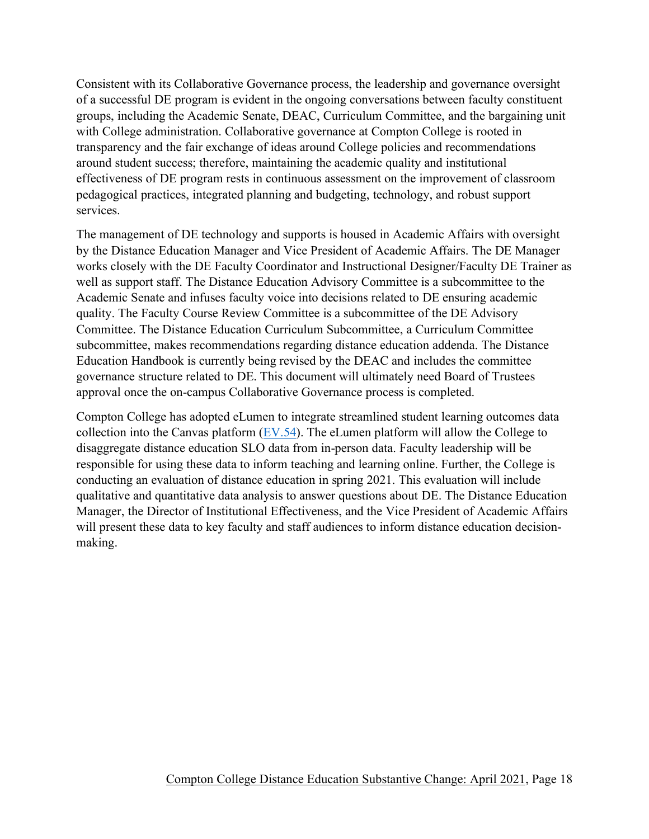Consistent with its Collaborative Governance process, the leadership and governance oversight of a successful DE program is evident in the ongoing conversations between faculty constituent groups, including the Academic Senate, DEAC, Curriculum Committee, and the bargaining unit with College administration. Collaborative governance at Compton College is rooted in transparency and the fair exchange of ideas around College policies and recommendations around student success; therefore, maintaining the academic quality and institutional effectiveness of DE program rests in continuous assessment on the improvement of classroom pedagogical practices, integrated planning and budgeting, technology, and robust support services.

The management of DE technology and supports is housed in Academic Affairs with oversight by the Distance Education Manager and Vice President of Academic Affairs. The DE Manager works closely with the DE Faculty Coordinator and Instructional Designer/Faculty DE Trainer as well as support staff. The Distance Education Advisory Committee is a subcommittee to the Academic Senate and infuses faculty voice into decisions related to DE ensuring academic quality. The Faculty Course Review Committee is a subcommittee of the DE Advisory Committee. The Distance Education Curriculum Subcommittee, a Curriculum Committee subcommittee, makes recommendations regarding distance education addenda. The Distance Education Handbook is currently being revised by the DEAC and includes the committee governance structure related to DE. This document will ultimately need Board of Trustees approval once the on-campus Collaborative Governance process is completed.

Compton College has adopted eLumen to integrate streamlined student learning outcomes data collection into the Canvas platform  $(EV.54)$ . The eLumen platform will allow the College to disaggregate distance education SLO data from in-person data. Faculty leadership will be responsible for using these data to inform teaching and learning online. Further, the College is conducting an evaluation of distance education in spring 2021. This evaluation will include qualitative and quantitative data analysis to answer questions about DE. The Distance Education Manager, the Director of Institutional Effectiveness, and the Vice President of Academic Affairs will present these data to key faculty and staff audiences to inform distance education decisionmaking.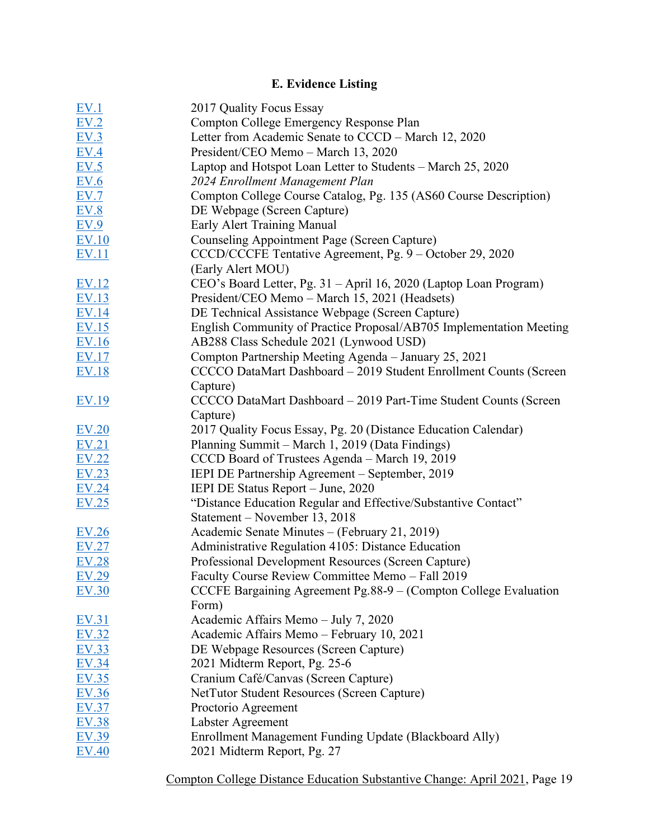# **E. Evidence Listing**

| EV.1             | 2017 Quality Focus Essay                                            |
|------------------|---------------------------------------------------------------------|
| EV.2             | Compton College Emergency Response Plan                             |
| EV.3             | Letter from Academic Senate to CCCD – March 12, 2020                |
| EV.4             | President/CEO Memo - March 13, 2020                                 |
| EV.5             | Laptop and Hotspot Loan Letter to Students – March 25, 2020         |
| EV.6             | 2024 Enrollment Management Plan                                     |
| EV.7             | Compton College Course Catalog, Pg. 135 (AS60 Course Description)   |
| E <sub>V.8</sub> | DE Webpage (Screen Capture)                                         |
| EV.9             | Early Alert Training Manual                                         |
| <b>EV.10</b>     | Counseling Appointment Page (Screen Capture)                        |
| <u>EV.11</u>     | CCCD/CCCFE Tentative Agreement, Pg. 9 – October 29, 2020            |
|                  | (Early Alert MOU)                                                   |
| EV.12            | CEO's Board Letter, Pg. 31 - April 16, 2020 (Laptop Loan Program)   |
| EV.13            | President/CEO Memo - March 15, 2021 (Headsets)                      |
| <b>EV.14</b>     | DE Technical Assistance Webpage (Screen Capture)                    |
| EV.15            | English Community of Practice Proposal/AB705 Implementation Meeting |
| EV.16            | AB288 Class Schedule 2021 (Lynwood USD)                             |
| <u>EV.17</u>     | Compton Partnership Meeting Agenda - January 25, 2021               |
| EV.18            | CCCCO DataMart Dashboard - 2019 Student Enrollment Counts (Screen   |
|                  | Capture)                                                            |
| <u>EV.19</u>     | CCCCO DataMart Dashboard - 2019 Part-Time Student Counts (Screen    |
|                  | Capture)                                                            |
| EV.20            | 2017 Quality Focus Essay, Pg. 20 (Distance Education Calendar)      |
| EV.21            | Planning Summit – March 1, 2019 (Data Findings)                     |
| EV.22            | CCCD Board of Trustees Agenda - March 19, 2019                      |
| EV.23            | IEPI DE Partnership Agreement – September, 2019                     |
| EV.24            | IEPI DE Status Report - June, 2020                                  |
| EV.25            | "Distance Education Regular and Effective/Substantive Contact"      |
|                  | Statement - November 13, 2018                                       |
| EV.26            | Academic Senate Minutes - (February 21, 2019)                       |
| EV.27            | Administrative Regulation 4105: Distance Education                  |
| <b>EV.28</b>     | Professional Development Resources (Screen Capture)                 |
| EV.29            | Faculty Course Review Committee Memo - Fall 2019                    |
| EV.30            | CCCFE Bargaining Agreement Pg.88-9 $-$ (Compton College Evaluation  |
|                  | Form)                                                               |
| EV.31            | Academic Affairs Memo - July 7, 2020                                |
| EV.32            | Academic Affairs Memo - February 10, 2021                           |
| <b>EV.33</b>     | DE Webpage Resources (Screen Capture)                               |
| <b>EV.34</b>     | 2021 Midterm Report, Pg. 25-6                                       |
| EV.35            | Cranium Café/Canvas (Screen Capture)                                |
| EV.36            | NetTutor Student Resources (Screen Capture)                         |
| <b>EV.37</b>     | Proctorio Agreement                                                 |
| EV.38            | Labster Agreement                                                   |
| EV.39            | Enrollment Management Funding Update (Blackboard Ally)              |
| <b>EV.40</b>     | 2021 Midterm Report, Pg. 27                                         |
|                  |                                                                     |
|                  |                                                                     |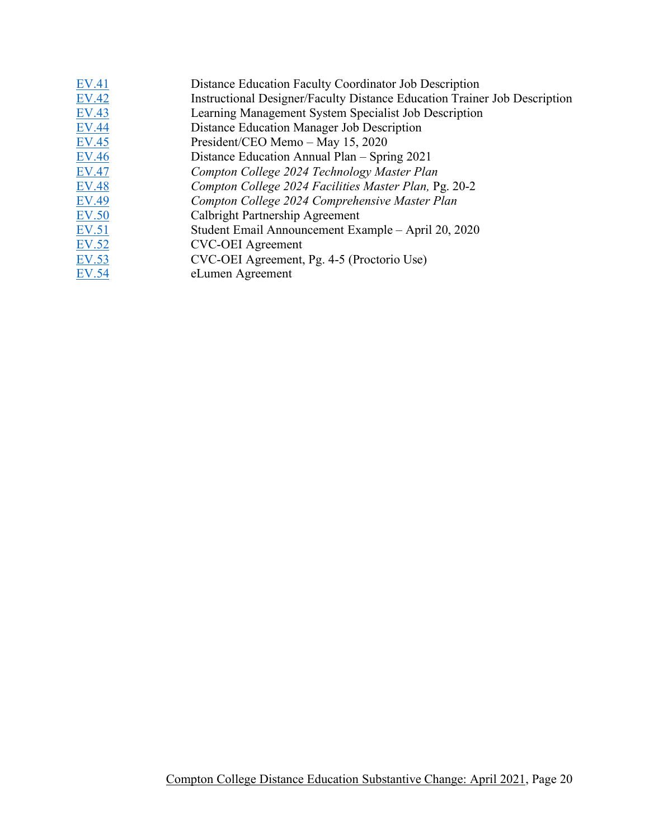| <b>EV.41</b> | Distance Education Faculty Coordinator Job Description                    |
|--------------|---------------------------------------------------------------------------|
| <b>EV.42</b> | Instructional Designer/Faculty Distance Education Trainer Job Description |
| <b>EV.43</b> | Learning Management System Specialist Job Description                     |
| <b>EV.44</b> | Distance Education Manager Job Description                                |
| <b>EV.45</b> | President/CEO Memo - May 15, 2020                                         |
| <b>EV.46</b> | Distance Education Annual Plan – Spring 2021                              |
| <b>EV.47</b> | Compton College 2024 Technology Master Plan                               |
| <b>EV.48</b> | Compton College 2024 Facilities Master Plan, Pg. 20-2                     |
| <b>EV.49</b> | Compton College 2024 Comprehensive Master Plan                            |
| <b>EV.50</b> | Calbright Partnership Agreement                                           |
| EV.51        | Student Email Announcement Example – April 20, 2020                       |
| EV.52        | <b>CVC-OEI</b> Agreement                                                  |
| EV.53        | CVC-OEI Agreement, Pg. 4-5 (Proctorio Use)                                |
| EV.54        | eLumen Agreement                                                          |
|              |                                                                           |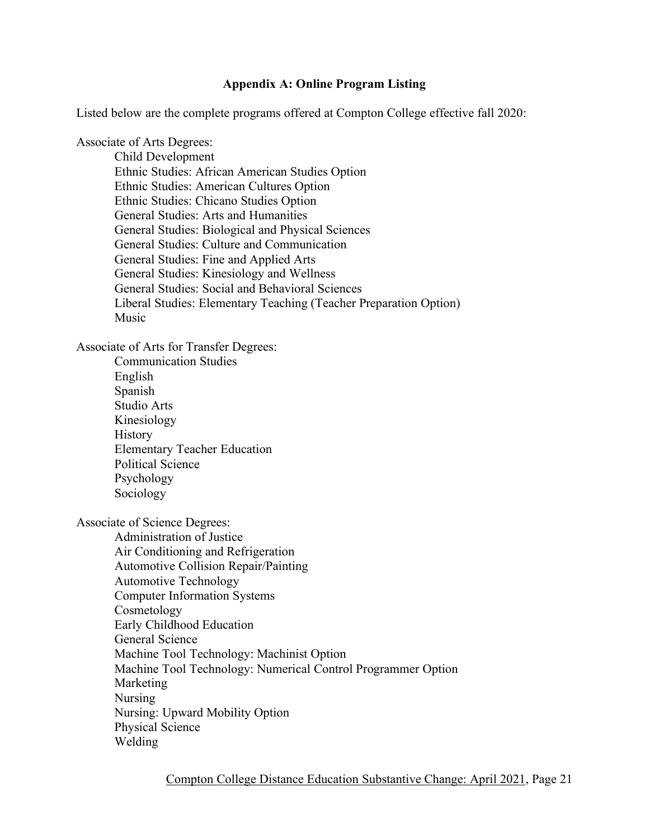#### **Appendix A: Online Program Listing**

Listed below are the complete programs offered at Compton College effective fall 2020:

Associate of Arts Degrees:

Child Development Ethnic Studies: African American Studies Option Ethnic Studies: American Cultures Option Ethnic Studies: Chicano Studies Option General Studies: Arts and Humanities General Studies: Biological and Physical Sciences General Studies: Culture and Communication General Studies: Fine and Applied Arts General Studies: Kinesiology and Wellness General Studies: Social and Behavioral Sciences Liberal Studies: Elementary Teaching (Teacher Preparation Option) Music

Associate of Arts for Transfer Degrees:

Communication Studies English Spanish Studio Arts Kinesiology **History** Elementary Teacher Education Political Science Psychology Sociology

Associate of Science Degrees:

Administration of Justice Air Conditioning and Refrigeration Automotive Collision Repair/Painting Automotive Technology Computer Information Systems Cosmetology Early Childhood Education General Science Machine Tool Technology: Machinist Option Machine Tool Technology: Numerical Control Programmer Option Marketing Nursing Nursing: Upward Mobility Option Physical Science Welding